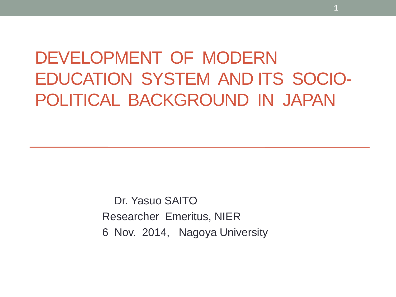# DEVELOPMENT OF MODERN EDUCATION SYSTEM AND ITS SOCIO-POLITICAL BACKGROUND IN JAPAN

 Dr. Yasuo SAITO Researcher Emeritus, NIER 6 Nov. 2014, Nagoya University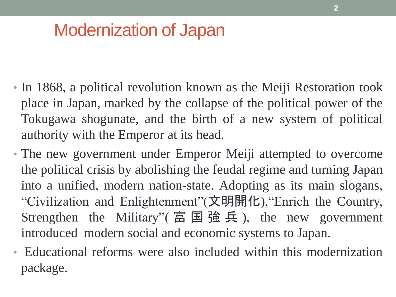# Modernization of Japan

- In 1868, a political revolution known as the Meiji Restoration took place in Japan, marked by the collapse of the political power of the Tokugawa shogunate, and the birth of a new system of political authority with the Emperor at its head.
- The new government under Emperor Meiji attempted to overcome the political crisis by abolishing the feudal regime and turning Japan into a unified, modern nation-state. Adopting as its main slogans, "Civilization and Enlightenment"(文明開化),"Enrich the Country, Strengthen the Military"( 富 国 強 兵 ), the new government introduced modern social and economic systems to Japan.
- Educational reforms were also included within this modernization package.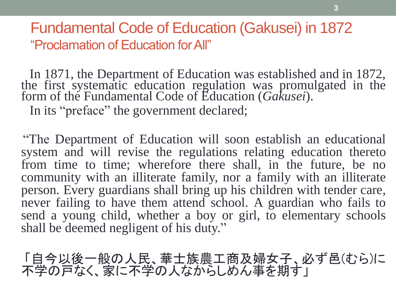Fundamental Code of Education (Gakusei) in 1872 "Proclamation of Education for All"

 In 1871, the Department of Education was established and in 1872, the first systematic education regulation was promulgated in the form of the Fundamental Code of Education (*Gakusei*).

In its "preface" the government declared;

 "The Department of Education will soon establish an educational system and will revise the regulations relating education thereto from time to time; wherefore there shall, in the future, be no community with an illiterate family, nor a family with an illiterate person. Every guardians shall bring up his children with tender care, never failing to have them attend school. A guardian who fails to send a young child, whether a boy or girl, to elementary schools shall be deemed negligent of his duty."

 「自今以後一般の人民、華士族農工商及婦女子、必ず邑(むら)に 不学の戸なく、家に不学の人なからしめん事を期す」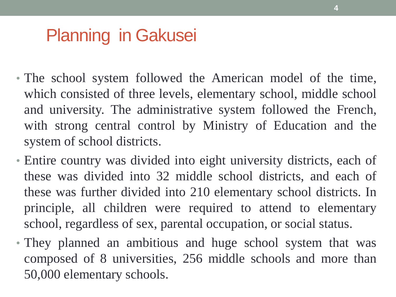# Planning in Gakusei

- The school system followed the American model of the time, which consisted of three levels, elementary school, middle school and university. The administrative system followed the French, with strong central control by Ministry of Education and the system of school districts.
- Entire country was divided into eight university districts, each of these was divided into 32 middle school districts, and each of these was further divided into 210 elementary school districts. In principle, all children were required to attend to elementary school, regardless of sex, parental occupation, or social status.
- They planned an ambitious and huge school system that was composed of 8 universities, 256 middle schools and more than 50,000 elementary schools.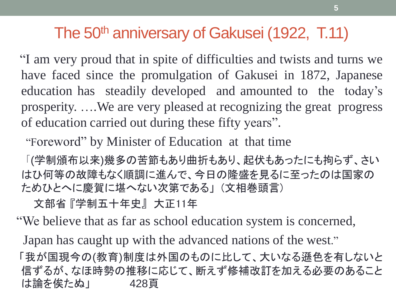#### The 50<sup>th</sup> anniversary of Gakusei (1922, T.11)

 "I am very proud that in spite of difficulties and twists and turns we have faced since the promulgation of Gakusei in 1872, Japanese education has steadily developed and amounted to the today's prosperity. ….We are very pleased at recognizing the great progress of education carried out during these fifty years".

"Foreword" by Minister of Education at that time

「(学制頒布以来)幾多の苦節もあり曲折もあり、起伏もあったにも拘らず、さい はひ何等の故障もなく順調に進んで、今日の隆盛を見るに至ったのは国家の ためひとへに慶賀に堪へない次第である」 (文相巻頭言)

文部省 『学制五十年史』 大正11年

"We believe that as far as school education system is concerned,

Japan has caught up with the advanced nations of the west."

「我が国現今の(教育)制度は外国のものに比して、大いなる遜色を有しないと 信ずるが、なほ時勢の推移に応じて、断えず修補改訂を加える必要のあること は論を俟たぬ」 428頁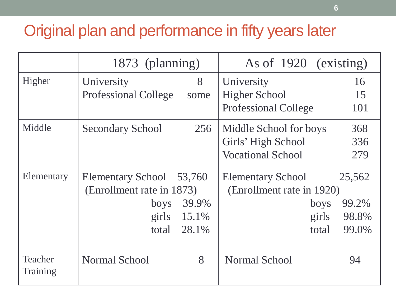#### Original plan and performance in fifty years later

|                     | 1873 (planning)                     | As of 1920 (existing)              |
|---------------------|-------------------------------------|------------------------------------|
| Higher              | 8<br>University                     | 16<br>University                   |
|                     | <b>Professional College</b><br>some | <b>Higher School</b><br>15         |
|                     |                                     | <b>Professional College</b><br>101 |
| Middle              | 256<br><b>Secondary School</b>      | 368<br>Middle School for boys      |
|                     |                                     | Girls' High School<br>336          |
|                     |                                     | <b>Vocational School</b><br>279    |
| Elementary          | <b>Elementary School</b><br>53,760  | 25,562<br><b>Elementary School</b> |
|                     | (Enrollment rate in 1873)           | (Enrollment rate in 1920)          |
|                     | 39.9%<br><b>boys</b>                | 99.2%<br>boys                      |
|                     | 15.1%<br>girls                      | 98.8%<br>girls                     |
|                     | 28.1%<br>total                      | 99.0%<br>total                     |
|                     |                                     |                                    |
| Teacher<br>Training | 8<br><b>Normal School</b>           | <b>Normal School</b><br>94         |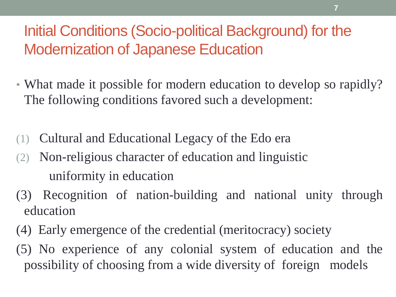### Initial Conditions (Socio-political Background) for the Modernization of Japanese Education

- What made it possible for modern education to develop so rapidly? The following conditions favored such a development:
- (1) Cultural and Educational Legacy of the Edo era
- (2) Non-religious character of education and linguistic uniformity in education
- (3) Recognition of nation-building and national unity through education
- (4) Early emergence of the credential (meritocracy) society
- (5) No experience of any colonial system of education and the possibility of choosing from a wide diversity of foreign models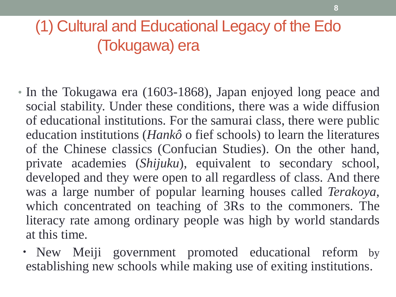## (1) Cultural and Educational Legacy of the Edo (Tokugawa) era

- In the Tokugawa era (1603-1868), Japan enjoyed long peace and social stability. Under these conditions, there was a wide diffusion of educational institutions. For the samurai class, there were public education institutions (*Hankô* o fief schools) to learn the literatures of the Chinese classics (Confucian Studies). On the other hand, private academies (*Shijuku*), equivalent to secondary school, developed and they were open to all regardless of class. And there was a large number of popular learning houses called *Terakoya*, which concentrated on teaching of 3Rs to the commoners. The literacy rate among ordinary people was high by world standards at this time.
	- ・ New Meiji government promoted educational reform by establishing new schools while making use of exiting institutions.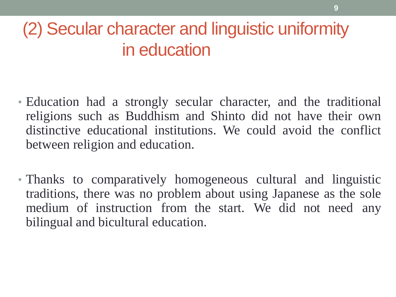# (2) Secular character and linguistic uniformity in education

- Education had a strongly secular character, and the traditional religions such as Buddhism and Shinto did not have their own distinctive educational institutions. We could avoid the conflict between religion and education.
- Thanks to comparatively homogeneous cultural and linguistic traditions, there was no problem about using Japanese as the sole medium of instruction from the start. We did not need any bilingual and bicultural education.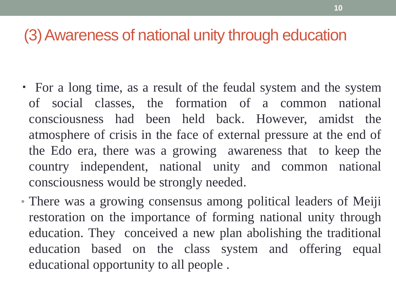#### (3)Awareness of national unity through education

- ・ For a long time, as a result of the feudal system and the system of social classes, the formation of a common national consciousness had been held back. However, amidst the atmosphere of crisis in the face of external pressure at the end of the Edo era, there was a growing awareness that to keep the country independent, national unity and common national consciousness would be strongly needed.
- There was a growing consensus among political leaders of Meiji restoration on the importance of forming national unity through education. They conceived a new plan abolishing the traditional education based on the class system and offering equal educational opportunity to all people .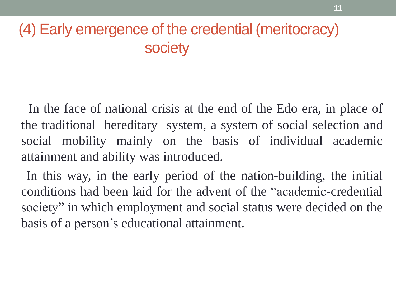### (4) Early emergence of the credential (meritocracy) **society**

 In the face of national crisis at the end of the Edo era, in place of the traditional hereditary system, a system of social selection and social mobility mainly on the basis of individual academic attainment and ability was introduced.

 In this way, in the early period of the nation-building, the initial conditions had been laid for the advent of the "academic-credential society" in which employment and social status were decided on the basis of a person's educational attainment.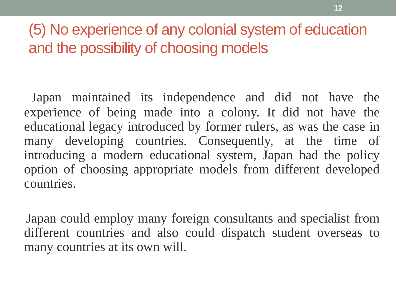### (5) No experience of any colonial system of education and the possibility of choosing models

 Japan maintained its independence and did not have the experience of being made into a colony. It did not have the educational legacy introduced by former rulers, as was the case in many developing countries. Consequently, at the time of introducing a modern educational system, Japan had the policy option of choosing appropriate models from different developed countries.

 Japan could employ many foreign consultants and specialist from different countries and also could dispatch student overseas to many countries at its own will.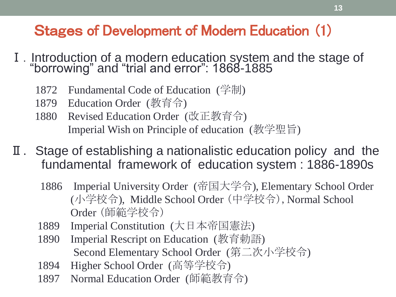#### Stages of Development of Modern Education (1)

- I. Introduction of a modern education system and the stage of "borrowing" and "trial and error": 1868-1885
	- 1872 Fundamental Code of Education (学制)
	- 1879 Education Order (教育令)
	- 1880 Revised Education Order (改正教育令) Imperial Wish on Principle of education (教学聖旨)
- Ⅱ.Stage of establishing a nationalistic education policy and the fundamental framework of education system : 1886-1890s
	- 1886 Imperial University Order (帝国大学令), Elementary School Order (小学校令), Middle School Order (中学校令),Normal School Order (師範学校令)
	- 1889 Imperial Constitution (大日本帝国憲法)
	- 1890 Imperial Rescript on Education (教育勅語) Second Elementary School Order (第二次小学校令)
	- 1894 Higher School Order (高等学校令)
	- 1897 Normal Education Order (師範教育令)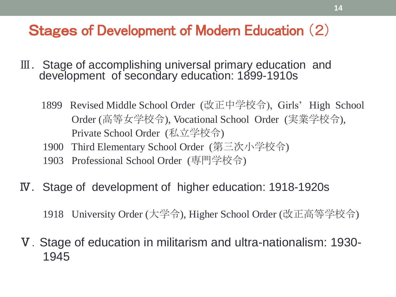#### Stages of Development of Modern Education (2)

- Ⅲ.Stage of accomplishing universal primary education and development of secondary education: 1899-1910s
	- 1899 Revised Middle School Order (改正中学校令), Girls' High School Order (高等女学校令), Vocational School Order (実業学校令), Private School Order (私立学校令)
	- 1900 Third Elementary School Order (第三次小学校令)
	- 1903 Professional School Order (専門学校令)
- Ⅳ.Stage of development of higher education: 1918-1920s

1918 University Order (大学令), Higher School Order (改正高等学校令)

Ⅴ.Stage of education in militarism and ultra-nationalism: 1930- 1945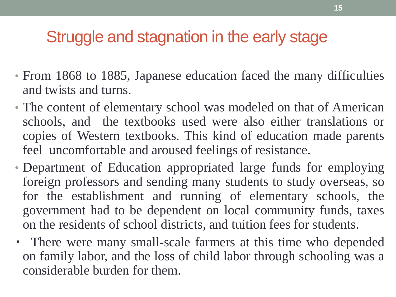### Struggle and stagnation in the early stage

- From 1868 to 1885, Japanese education faced the many difficulties and twists and turns.
- The content of elementary school was modeled on that of American schools, and the textbooks used were also either translations or copies of Western textbooks. This kind of education made parents feel uncomfortable and aroused feelings of resistance.
- Department of Education appropriated large funds for employing foreign professors and sending many students to study overseas, so for the establishment and running of elementary schools, the government had to be dependent on local community funds, taxes on the residents of school districts, and tuition fees for students.
- ・ There were many small-scale farmers at this time who depended on family labor, and the loss of child labor through schooling was a considerable burden for them.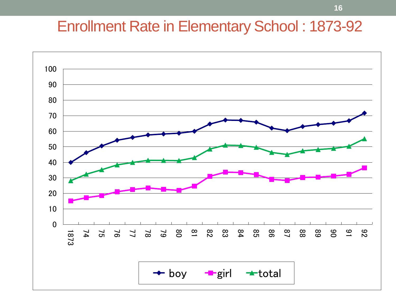#### Enrollment Rate in Elementary School : 1873-92

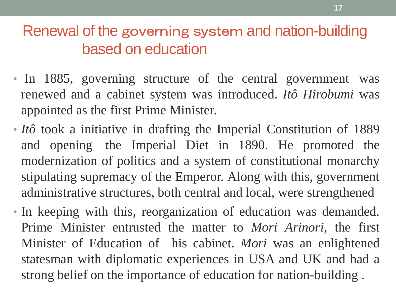#### Renewal of the governing system and nation-building based on education

- In 1885, governing structure of the central government was renewed and a cabinet system was introduced. *Itô Hirobumi* was appointed as the first Prime Minister.
- *Itô* took a initiative in drafting the Imperial Constitution of 1889 and opening the Imperial Diet in 1890. He promoted the modernization of politics and a system of constitutional monarchy stipulating supremacy of the Emperor. Along with this, government administrative structures, both central and local, were strengthened
- In keeping with this, reorganization of education was demanded. Prime Minister entrusted the matter to *Mori Arinori*, the first Minister of Education of his cabinet. *Mori* was an enlightened statesman with diplomatic experiences in USA and UK and had a strong belief on the importance of education for nation-building .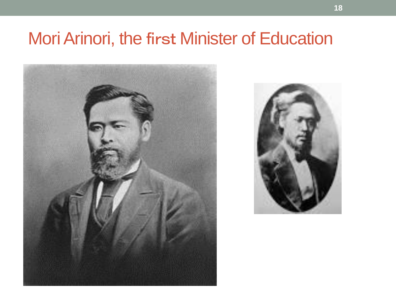# Mori Arinori, the first Minister of Education



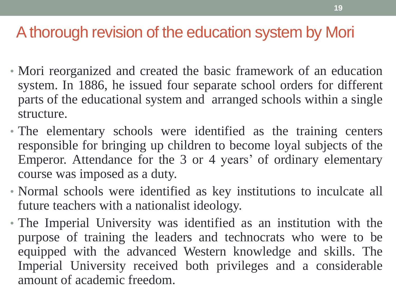### A thorough revision of the education system by Mori

- Mori reorganized and created the basic framework of an education system. In 1886, he issued four separate school orders for different parts of the educational system and arranged schools within a single structure.
- The elementary schools were identified as the training centers responsible for bringing up children to become loyal subjects of the Emperor. Attendance for the 3 or 4 years' of ordinary elementary course was imposed as a duty.
- Normal schools were identified as key institutions to inculcate all future teachers with a nationalist ideology.
- The Imperial University was identified as an institution with the purpose of training the leaders and technocrats who were to be equipped with the advanced Western knowledge and skills. The Imperial University received both privileges and a considerable amount of academic freedom.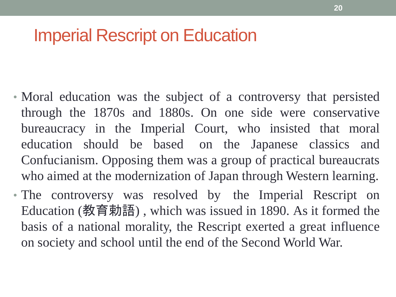## Imperial Rescript on Education

- Moral education was the subject of a controversy that persisted through the 1870s and 1880s. On one side were conservative bureaucracy in the Imperial Court, who insisted that moral education should be based on the Japanese classics and Confucianism. Opposing them was a group of practical bureaucrats who aimed at the modernization of Japan through Western learning.
- The controversy was resolved by the Imperial Rescript on Education (教育勅語) , which was issued in 1890. As it formed the basis of a national morality, the Rescript exerted a great influence on society and school until the end of the Second World War.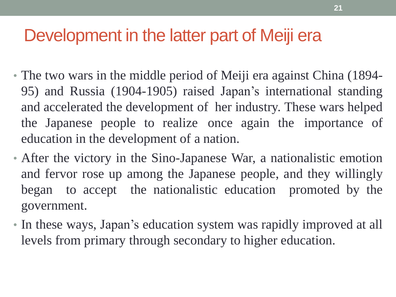## Development in the latter part of Meiji era

- The two wars in the middle period of Meiji era against China (1894- 95) and Russia (1904-1905) raised Japan's international standing and accelerated the development of her industry. These wars helped the Japanese people to realize once again the importance of education in the development of a nation.
- After the victory in the Sino-Japanese War, a nationalistic emotion and fervor rose up among the Japanese people, and they willingly began to accept the nationalistic education promoted by the government.
- In these ways, Japan's education system was rapidly improved at all levels from primary through secondary to higher education.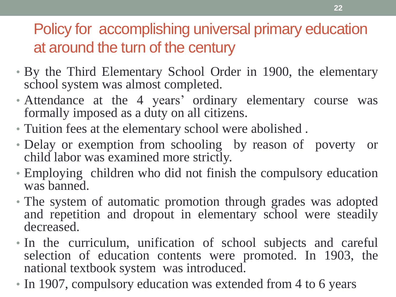### Policy for accomplishing universal primary education at around the turn of the century

- By the Third Elementary School Order in 1900, the elementary school system was almost completed.
- Attendance at the 4 years' ordinary elementary course was formally imposed as a duty on all citizens.
- Tuition fees at the elementary school were abolished .
- Delay or exemption from schooling by reason of poverty or child labor was examined more strictly.
- Employing children who did not finish the compulsory education was banned.
- The system of automatic promotion through grades was adopted and repetition and dropout in elementary school were steadily decreased.
- In the curriculum, unification of school subjects and careful selection of education contents were promoted. In 1903, the national textbook system was introduced.
- In 1907, compulsory education was extended from 4 to 6 years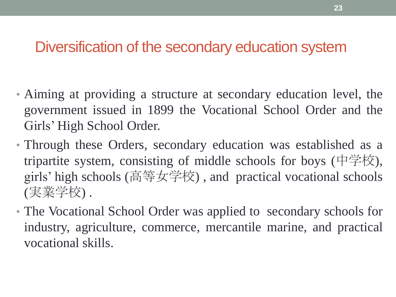#### Diversification of the secondary education system

- Aiming at providing a structure at secondary education level, the government issued in 1899 the Vocational School Order and the Girls' High School Order.
- Through these Orders, secondary education was established as a tripartite system, consisting of middle schools for boys (中学校), girls' high schools (高等女学校) , and practical vocational schools (実業学校) .
- The Vocational School Order was applied to secondary schools for industry, agriculture, commerce, mercantile marine, and practical vocational skills.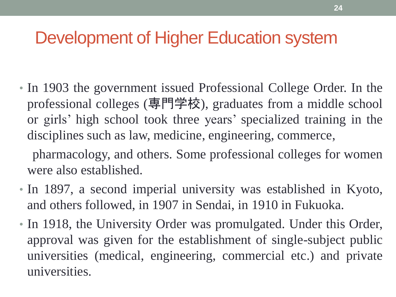## Development of Higher Education system

• In 1903 the government issued Professional College Order. In the professional colleges (専門学校), graduates from a middle school or girls' high school took three years' specialized training in the disciplines such as law, medicine, engineering, commerce,

 pharmacology, and others. Some professional colleges for women were also established.

- In 1897, a second imperial university was established in Kyoto, and others followed, in 1907 in Sendai, in 1910 in Fukuoka.
- In 1918, the University Order was promulgated. Under this Order, approval was given for the establishment of single-subject public universities (medical, engineering, commercial etc.) and private universities.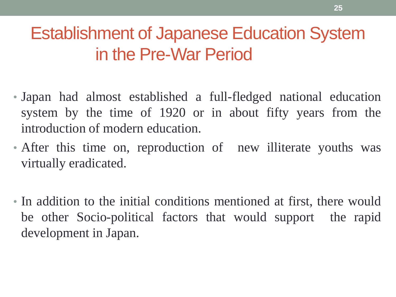# Establishment of Japanese Education System in the Pre-War Period

- Japan had almost established a full-fledged national education system by the time of 1920 or in about fifty years from the introduction of modern education.
- After this time on, reproduction of new illiterate youths was virtually eradicated.
- In addition to the initial conditions mentioned at first, there would be other Socio-political factors that would support the rapid development in Japan.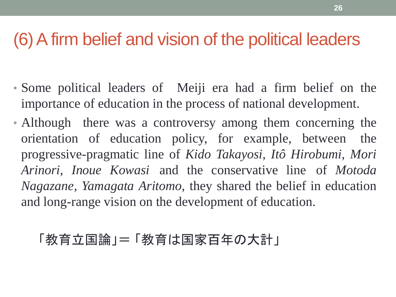### (6)A firm belief and vision of the political leaders

- Some political leaders of Meiji era had a firm belief on the importance of education in the process of national development.
- Although there was a controversy among them concerning the orientation of education policy, for example, between the progressive-pragmatic line of *Kido Takayosi, Itô Hirobumi, Mori Arinori, Inoue Kowasi* and the conservative line of *Motoda Nagazane, Yamagata Aritomo*, they shared the belief in education and long-range vision on the development of education.

#### 「教育立国論」=「教育は国家百年の大計」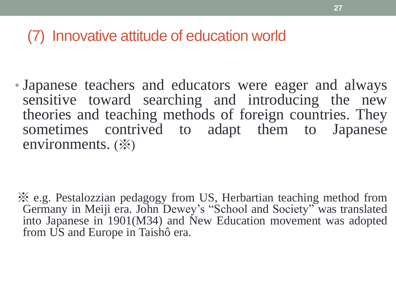#### (7) Innovative attitude of education world

• Japanese teachers and educators were eager and always sensitive toward searching and introducing the new theories and teaching methods of foreign countries. They sometimes contrived to adapt them to Japanese environments. (※)

※ e.g. Pestalozzian pedagogy from US, Herbartian teaching method from Germany in Meiji era. John Dewey's "School and Society" was translated into Japanese in 1901(M34) and New Education movement was adopted from US and Europe in Taishô era.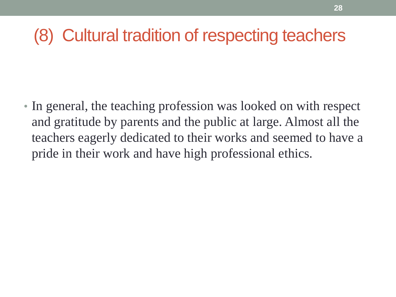# (8) Cultural tradition of respecting teachers

• In general, the teaching profession was looked on with respect and gratitude by parents and the public at large. Almost all the teachers eagerly dedicated to their works and seemed to have a pride in their work and have high professional ethics.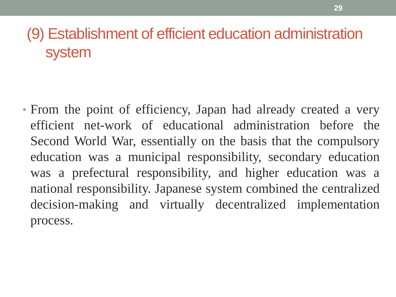### (9) Establishment of efficient education administration system

• From the point of efficiency, Japan had already created a very efficient net-work of educational administration before the Second World War, essentially on the basis that the compulsory education was a municipal responsibility, secondary education was a prefectural responsibility, and higher education was a national responsibility. Japanese system combined the centralized decision-making and virtually decentralized implementation process.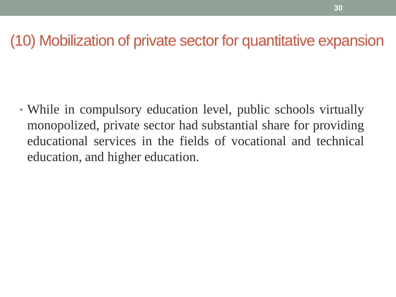#### (10) Mobilization of private sector for quantitative expansion

• While in compulsory education level, public schools virtually monopolized, private sector had substantial share for providing educational services in the fields of vocational and technical education, and higher education.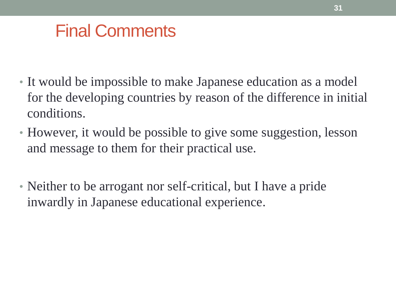## Final Comments

- It would be impossible to make Japanese education as a model for the developing countries by reason of the difference in initial conditions.
- However, it would be possible to give some suggestion, lesson and message to them for their practical use.
- Neither to be arrogant nor self-critical, but I have a pride inwardly in Japanese educational experience.